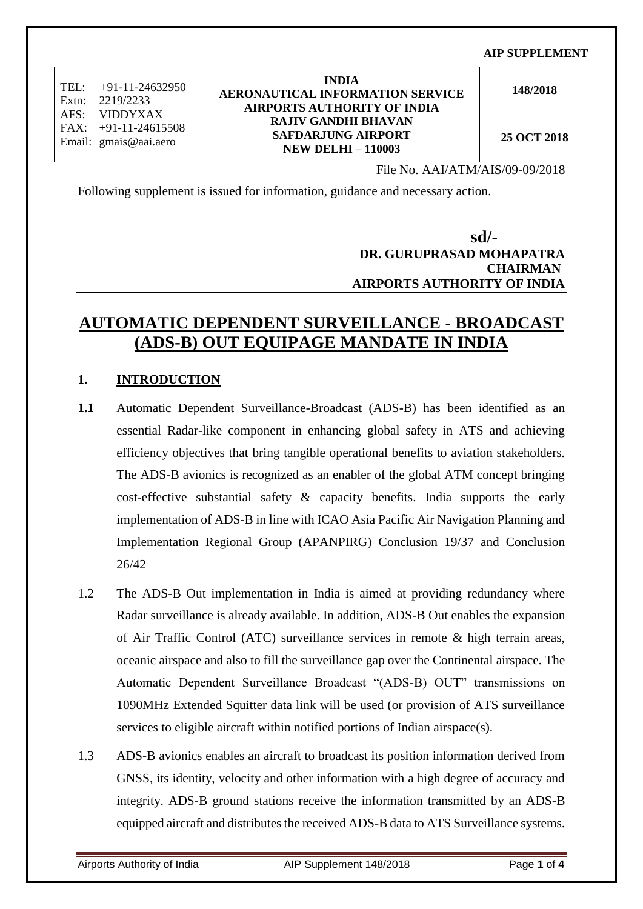#### **AIP SUPPLEMENT**

| TEL:  | +91-11-24632950        |  |
|-------|------------------------|--|
| Extn: | 2219/2233              |  |
|       | AFS: VIDDYXAX          |  |
|       | $FAX: +91-11-24615508$ |  |
|       | Email: gmais@aai.aero  |  |

### **INDIA AERONAUTICAL INFORMATION SERVICE AIRPORTS AUTHORITY OF INDIA RAJIV GANDHI BHAVAN SAFDARJUNG AIRPORT NEW DELHI – 110003**

**148/2018**

**25 OCT 2018**

File No. AAI/ATM/AIS/09-09/2018

Following supplement is issued for information, guidance and necessary action.

 **sd/- DR. GURUPRASAD MOHAPATRA CHAIRMAN AIRPORTS AUTHORITY OF INDIA**

## **AUTOMATIC DEPENDENT SURVEILLANCE - BROADCAST (ADS-B) OUT EQUIPAGE MANDATE IN INDIA**

### **1. INTRODUCTION**

- **1.1** Automatic Dependent Surveillance-Broadcast (ADS-B) has been identified as an essential Radar-like component in enhancing global safety in ATS and achieving efficiency objectives that bring tangible operational benefits to aviation stakeholders. The ADS-B avionics is recognized as an enabler of the global ATM concept bringing cost-effective substantial safety & capacity benefits. India supports the early implementation of ADS-B in line with ICAO Asia Pacific Air Navigation Planning and Implementation Regional Group (APANPIRG) Conclusion 19/37 and Conclusion 26/42
- 1.2 The ADS-B Out implementation in India is aimed at providing redundancy where Radar surveillance is already available. In addition, ADS-B Out enables the expansion of Air Traffic Control (ATC) surveillance services in remote & high terrain areas, oceanic airspace and also to fill the surveillance gap over the Continental airspace. The Automatic Dependent Surveillance Broadcast "(ADS-B) OUT" transmissions on 1090MHz Extended Squitter data link will be used (or provision of ATS surveillance services to eligible aircraft within notified portions of Indian airspace(s).
- 1.3 ADS-B avionics enables an aircraft to broadcast its position information derived from GNSS, its identity, velocity and other information with a high degree of accuracy and integrity. ADS-B ground stations receive the information transmitted by an ADS-B equipped aircraft and distributes the received ADS-B data to ATS Surveillance systems.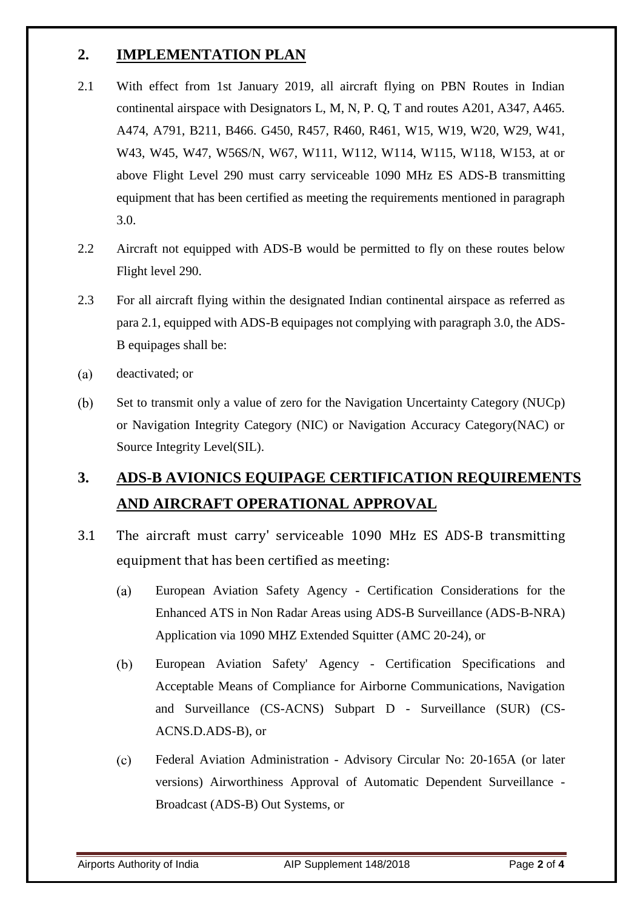## **2. IMPLEMENTATION PLAN**

- 2.1 With effect from 1st January 2019, all aircraft flying on PBN Routes in Indian continental airspace with Designators L, M, N, P. Q, T and routes A201, A347, A465. A474, A791, B211, B466. G450, R457, R460, R461, W15, W19, W20, W29, W41, W43, W45, W47, W56S/N, W67, W111, W112, W114, W115, W118, W153, at or above Flight Level 290 must carry serviceable 1090 MHz ES ADS-B transmitting equipment that has been certified as meeting the requirements mentioned in paragraph 3.0.
- 2.2 Aircraft not equipped with ADS-B would be permitted to fly on these routes below Flight level 290.
- 2.3 For all aircraft flying within the designated Indian continental airspace as referred as para 2.1, equipped with ADS-B equipages not complying with paragraph 3.0, the ADS-B equipages shall be:
- $(a)$ deactivated; or
- $(b)$ Set to transmit only a value of zero for the Navigation Uncertainty Category (NUCp) or Navigation Integrity Category (NIC) or Navigation Accuracy Category(NAC) or Source Integrity Level(SIL).

# **3. ADS-B AVIONICS EQUIPAGE CERTIFICATION REQUIREMENTS AND AIRCRAFT OPERATIONAL APPROVAL**

- 3.1 The aircraft must carry' serviceable 1090 MHz ES ADS-B transmitting equipment that has been certified as meeting:
	- $(a)$ European Aviation Safety Agency - Certification Considerations for the Enhanced ATS in Non Radar Areas using ADS-B Surveillance (ADS-B-NRA) Application via 1090 MHZ Extended Squitter (AMC 20-24), or
	- $(b)$ European Aviation Safety' Agency - Certification Specifications and Acceptable Means of Compliance for Airborne Communications, Navigation and Surveillance (CS-ACNS) Subpart D - Surveillance (SUR) (CS-ACNS.D.ADS-B), or
	- $(c)$ Federal Aviation Administration - Advisory Circular No: 20-165A (or later versions) Airworthiness Approval of Automatic Dependent Surveillance - Broadcast (ADS-B) Out Systems, or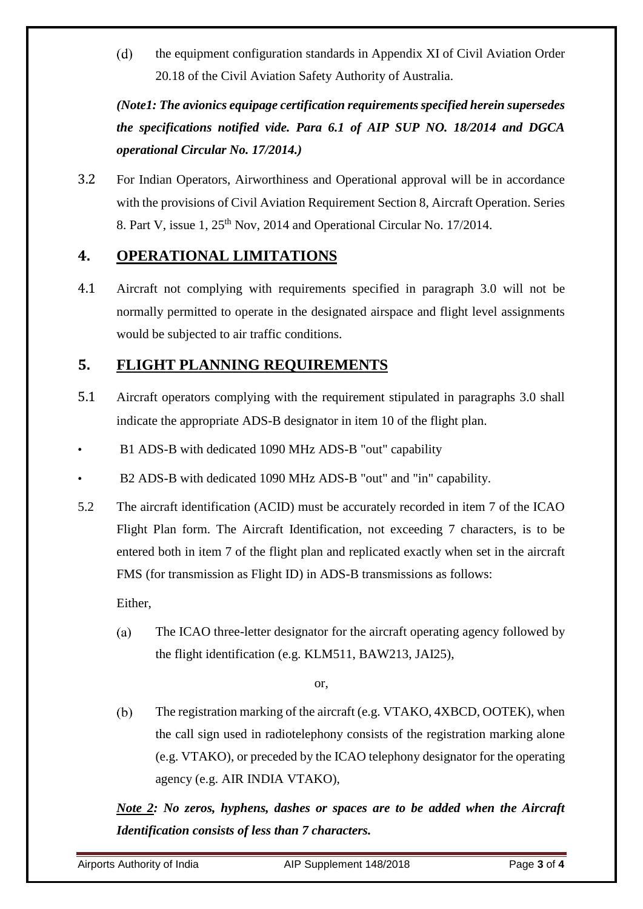$(d)$ the equipment configuration standards in Appendix XI of Civil Aviation Order 20.18 of the Civil Aviation Safety Authority of Australia.

*(Note1: The avionics equipage certification requirements specified herein supersedes the specifications notified vide. Para 6.1 of AIP SUP NO. 18/2014 and DGCA operational Circular No. 17/2014.)*

3.2 For Indian Operators, Airworthiness and Operational approval will be in accordance with the provisions of Civil Aviation Requirement Section 8, Aircraft Operation. Series 8. Part V, issue 1,  $25<sup>th</sup>$  Nov, 2014 and Operational Circular No. 17/2014.

### **4. OPERATIONAL LIMITATIONS**

4.1 Aircraft not complying with requirements specified in paragraph 3.0 will not be normally permitted to operate in the designated airspace and flight level assignments would be subjected to air traffic conditions.

### **5. FLIGHT PLANNING REQUIREMENTS**

- 5.1 Aircraft operators complying with the requirement stipulated in paragraphs 3.0 shall indicate the appropriate ADS-B designator in item 10 of the flight plan.
- B1 ADS-B with dedicated 1090 MHz ADS-B "out" capability
- B2 ADS-B with dedicated 1090 MHz ADS-B "out" and "in" capability.
- 5.2 The aircraft identification (ACID) must be accurately recorded in item 7 of the ICAO Flight Plan form. The Aircraft Identification, not exceeding 7 characters, is to be entered both in item 7 of the flight plan and replicated exactly when set in the aircraft FMS (for transmission as Flight ID) in ADS-B transmissions as follows:

Either,

 $(a)$ The ICAO three-letter designator for the aircraft operating agency followed by the flight identification (e.g. KLM511, BAW213, JAI25),

or,

 $(b)$ The registration marking of the aircraft (e.g. VTAKO, 4XBCD, OOTEK), when the call sign used in radiotelephony consists of the registration marking alone (e.g. VTAKO), or preceded by the ICAO telephony designator for the operating agency (e.g. AIR INDIA VTAKO),

*Note 2: No zeros, hyphens, dashes or spaces are to be added when the Aircraft Identification consists of less than 7 characters.*